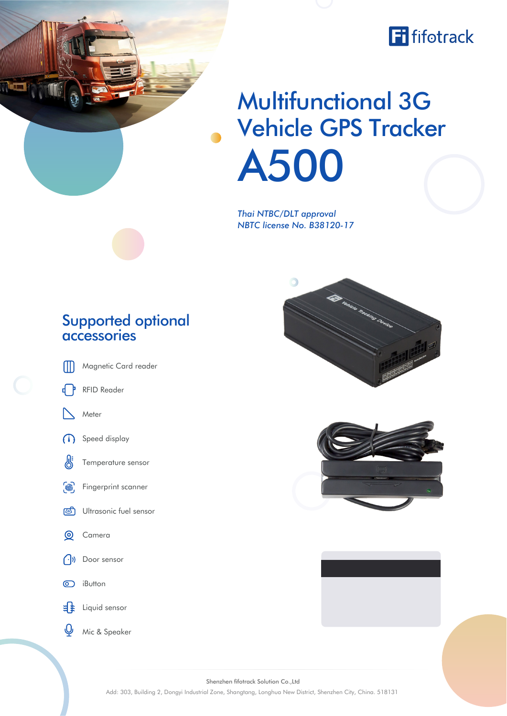

## Multifunctional 3G Vehicle GPS Tracker A500

*Thai NTBC/DLT approval NBTC license No. B38120-17*

## Supported optional accessories

Magnetic Card reader M

RFID Reader

Meter

4 P





iButton

 $\frac{3}{4}$ Liquid sensor

Mic & Speaker



- Temperature sensor
- $\widehat{\mathbb{Z}}$ Fingerprint scanner
- Ultrasonic fuel sensor ভী
- $\odot$ Camera
- $\bigcap$ )) Door sensor



 $\circ$ 



Shenzhen fifotrack Solution Co.,Ltd Add: 303, Building 2, Dongyi Industrial Zone, Shangtang, Longhua New District, Shenzhen City, China. 518131